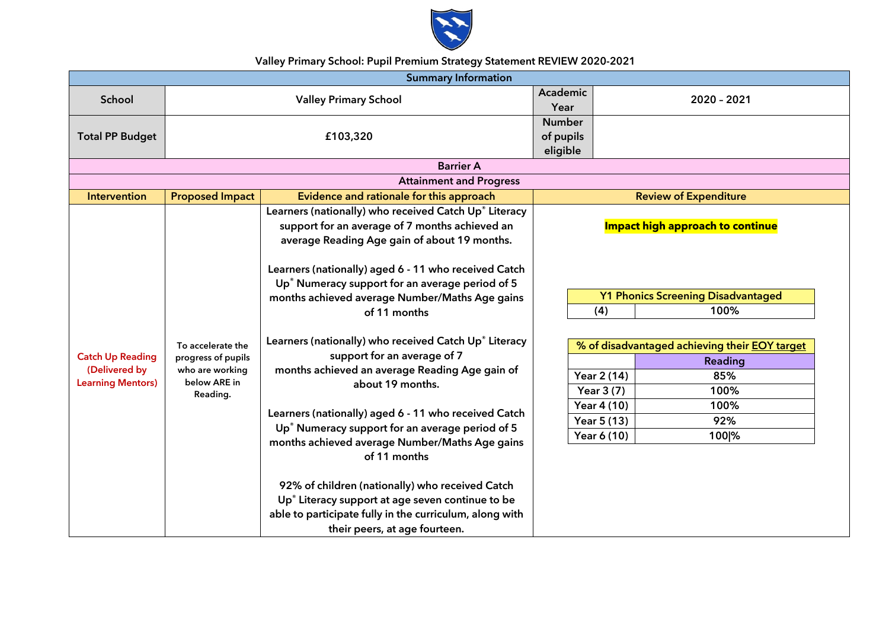

## **Valley Primary School: Pupil Premium Strategy Statement REVIEW 2020-2021**

| <b>Summary Information</b>                                           |                                                                                        |                                                                                                                                                                                                                                                                                                                                                                                                                                                                                                                                                                                                                                                                                                                                                                                                                                                                                       |                              |                                                                                                                                                                                                                                                                                         |  |  |  |  |
|----------------------------------------------------------------------|----------------------------------------------------------------------------------------|---------------------------------------------------------------------------------------------------------------------------------------------------------------------------------------------------------------------------------------------------------------------------------------------------------------------------------------------------------------------------------------------------------------------------------------------------------------------------------------------------------------------------------------------------------------------------------------------------------------------------------------------------------------------------------------------------------------------------------------------------------------------------------------------------------------------------------------------------------------------------------------|------------------------------|-----------------------------------------------------------------------------------------------------------------------------------------------------------------------------------------------------------------------------------------------------------------------------------------|--|--|--|--|
| School                                                               | <b>Valley Primary School</b>                                                           |                                                                                                                                                                                                                                                                                                                                                                                                                                                                                                                                                                                                                                                                                                                                                                                                                                                                                       |                              | 2020 - 2021                                                                                                                                                                                                                                                                             |  |  |  |  |
| <b>Total PP Budget</b>                                               | £103,320                                                                               |                                                                                                                                                                                                                                                                                                                                                                                                                                                                                                                                                                                                                                                                                                                                                                                                                                                                                       |                              | of pupils                                                                                                                                                                                                                                                                               |  |  |  |  |
|                                                                      |                                                                                        | <b>Barrier A</b>                                                                                                                                                                                                                                                                                                                                                                                                                                                                                                                                                                                                                                                                                                                                                                                                                                                                      | eligible                     |                                                                                                                                                                                                                                                                                         |  |  |  |  |
|                                                                      |                                                                                        | <b>Attainment and Progress</b>                                                                                                                                                                                                                                                                                                                                                                                                                                                                                                                                                                                                                                                                                                                                                                                                                                                        |                              |                                                                                                                                                                                                                                                                                         |  |  |  |  |
| <b>Intervention</b>                                                  | <b>Proposed Impact</b>                                                                 | Evidence and rationale for this approach                                                                                                                                                                                                                                                                                                                                                                                                                                                                                                                                                                                                                                                                                                                                                                                                                                              | <b>Review of Expenditure</b> |                                                                                                                                                                                                                                                                                         |  |  |  |  |
| <b>Catch Up Reading</b><br>(Delivered by<br><b>Learning Mentors)</b> | To accelerate the<br>progress of pupils<br>who are working<br>below ARE in<br>Reading. | Learners (nationally) who received Catch Up® Literacy<br>support for an average of 7 months achieved an<br>average Reading Age gain of about 19 months.<br>Learners (nationally) aged 6 - 11 who received Catch<br>Up <sup>®</sup> Numeracy support for an average period of 5<br>months achieved average Number/Maths Age gains<br>of 11 months<br>Learners (nationally) who received Catch Up® Literacy<br>support for an average of 7<br>months achieved an average Reading Age gain of<br>about 19 months.<br>Learners (nationally) aged 6 - 11 who received Catch<br>Up <sup>®</sup> Numeracy support for an average period of 5<br>months achieved average Number/Maths Age gains<br>of 11 months<br>92% of children (nationally) who received Catch<br>Up <sup>®</sup> Literacy support at age seven continue to be<br>able to participate fully in the curriculum, along with |                              | <b>Impact high approach to continue</b><br><b>Y1 Phonics Screening Disadvantaged</b><br>(4)<br>100%<br>% of disadvantaged achieving their <b>EOY</b> target<br>Reading<br>Year 2 (14)<br>85%<br>Year 3 (7)<br>100%<br>Year 4 (10)<br>100%<br>Year 5 (13)<br>92%<br>Year 6 (10)<br>100 % |  |  |  |  |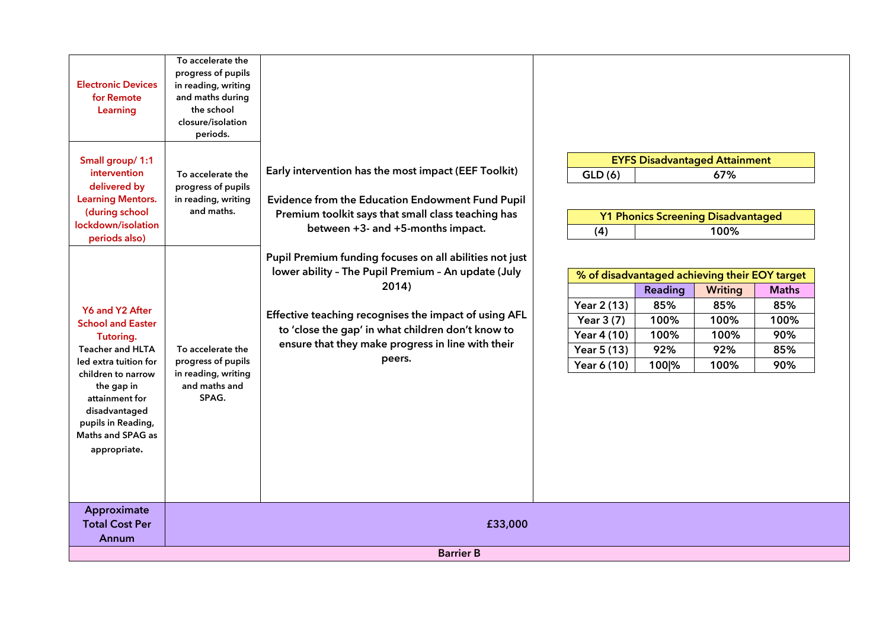| <b>Electronic Devices</b><br>for Remote<br>Learning                                                                                                                                                                                            | To accelerate the<br>progress of pupils<br>in reading, writing<br>and maths during<br>the school<br>closure/isolation<br>periods. |                                                                                                                                                                                                                                                                                                      |                                                                                                                   |                                                |                                                                                                       |                                                  |
|------------------------------------------------------------------------------------------------------------------------------------------------------------------------------------------------------------------------------------------------|-----------------------------------------------------------------------------------------------------------------------------------|------------------------------------------------------------------------------------------------------------------------------------------------------------------------------------------------------------------------------------------------------------------------------------------------------|-------------------------------------------------------------------------------------------------------------------|------------------------------------------------|-------------------------------------------------------------------------------------------------------|--------------------------------------------------|
| Small group/ 1:1<br>intervention<br>delivered by<br><b>Learning Mentors.</b><br>(during school<br>lockdown/isolation<br>periods also)                                                                                                          | To accelerate the<br>progress of pupils<br>in reading, writing<br>and maths.                                                      | Early intervention has the most impact (EEF Toolkit)<br>Evidence from the Education Endowment Fund Pupil<br>Premium toolkit says that small class teaching has<br>between +3- and +5-months impact.                                                                                                  | <b>EYFS Disadvantaged Attainment</b><br>GLD(6)<br>67%<br><b>Y1 Phonics Screening Disadvantaged</b><br>(4)<br>100% |                                                |                                                                                                       |                                                  |
| Y6 and Y2 After<br><b>School and Easter</b><br>Tutoring.<br><b>Teacher and HLTA</b><br>led extra tuition for<br>children to narrow<br>the gap in<br>attainment for<br>disadvantaged<br>pupils in Reading,<br>Maths and SPAG as<br>appropriate. | To accelerate the<br>progress of pupils<br>in reading, writing<br>and maths and<br>SPAG.                                          | Pupil Premium funding focuses on all abilities not just<br>lower ability - The Pupil Premium - An update (July<br>2014)<br>Effective teaching recognises the impact of using AFL<br>to 'close the gap' in what children don't know to<br>ensure that they make progress in line with their<br>peers. | Year 2 (13)<br>Year 3 (7)<br>Year 4 (10)<br>Year 5 (13)<br>Year 6 (10)                                            | Reading<br>85%<br>100%<br>100%<br>92%<br>100 % | % of disadvantaged achieving their EOY target<br><b>Writing</b><br>85%<br>100%<br>100%<br>92%<br>100% | <b>Maths</b><br>85%<br>100%<br>90%<br>85%<br>90% |
| Approximate<br><b>Total Cost Per</b><br>Annum                                                                                                                                                                                                  | £33,000                                                                                                                           |                                                                                                                                                                                                                                                                                                      |                                                                                                                   |                                                |                                                                                                       |                                                  |